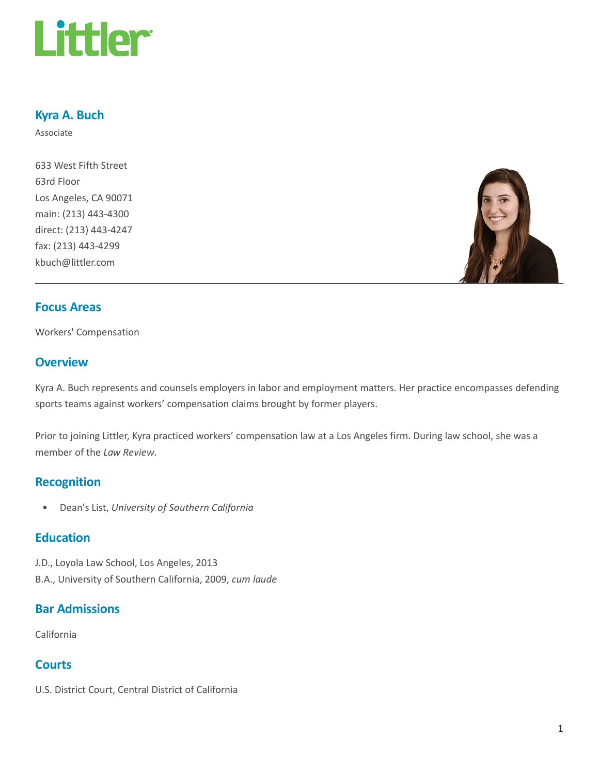

# Kyra A. Buch

Associate

633 West Fifth Street 63rd Floor Los Angeles, CA 90071 main: (213) 443-4300 direct: (213) 443-4247 fax: (213) 443-4299 kbuch@littler.com



#### Focus Areas

Workers' Compensation

# **Overview**

Kyra A. Buch represents and counsels employers in labor and employment matters. Her practice encompasses defending sports teams against workers' compensation claims brought by former players.

Prior to joining Littler, Kyra practiced workers' compensation law at a Los Angeles firm. During law school, she was a member of the Law Review.

#### Recognition

• Dean's List, University of Southern California

## **Education**

J.D., Loyola Law School, Los Angeles, 2013 B.A., University of Southern California, 2009, cum laude

# Bar Admissions

California

## **Courts**

U.S. District Court, Central District of California